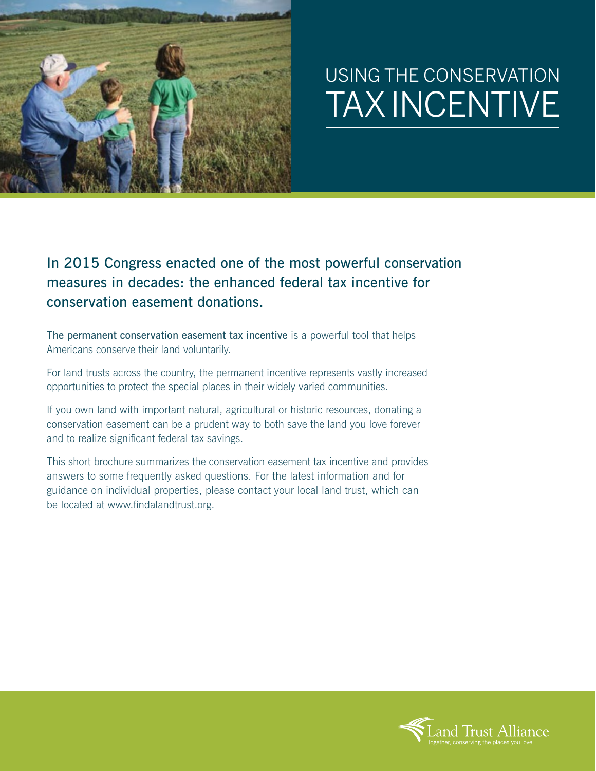

## USING THE CONSERVATION TAX INCENTIVE

In 2015 Congress enacted one of the most powerful conservation measures in decades: the enhanced federal tax incentive for conservation easement donations.

The permanent conservation easement tax incentive is a powerful tool that helps Americans conserve their land voluntarily.

For land trusts across the country, the permanent incentive represents vastly increased opportunities to protect the special places in their widely varied communities.

If you own land with important natural, agricultural or historic resources, donating a conservation easement can be a prudent way to both save the land you love forever and to realize significant federal tax savings.

This short brochure summarizes the conservation easement tax incentive and provides answers to some frequently asked questions. For the latest information and for guidance on individual properties, please contact your local land trust, which can be located at www.findalandtrust.org.

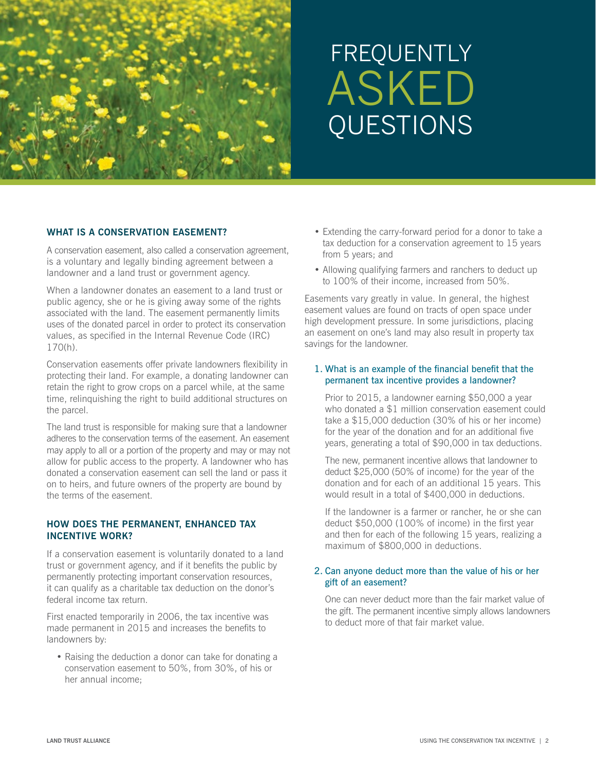

# FREQUENTLY ASKED QUESTIONS

## **WHAT IS A CONSERVATION EASEMENT?**

A conservation easement, also called a conservation agreement, is a voluntary and legally binding agreement between a landowner and a land trust or government agency.

When a landowner donates an easement to a land trust or public agency, she or he is giving away some of the rights associated with the land. The easement permanently limits uses of the donated parcel in order to protect its conservation values, as specified in the Internal Revenue Code (IRC) 170(h).

Conservation easements offer private landowners flexibility in protecting their land. For example, a donating landowner can retain the right to grow crops on a parcel while, at the same time, relinquishing the right to build additional structures on the parcel.

The land trust is responsible for making sure that a landowner adheres to the conservation terms of the easement. An easement may apply to all or a portion of the property and may or may not allow for public access to the property. A landowner who has donated a conservation easement can sell the land or pass it on to heirs, and future owners of the property are bound by the terms of the easement.

## **HOW DOES THE PERMANENT, ENHANCED TAX INCENTIVE WORK?**

If a conservation easement is voluntarily donated to a land trust or government agency, and if it benefits the public by permanently protecting important conservation resources, it can qualify as a charitable tax deduction on the donor's federal income tax return.

First enacted temporarily in 2006, the tax incentive was made permanent in 2015 and increases the benefits to landowners by:

• Raising the deduction a donor can take for donating a conservation easement to 50%, from 30%, of his or her annual income;

- Extending the carry-forward period for a donor to take a tax deduction for a conservation agreement to 15 years from 5 years; and
- Allowing qualifying farmers and ranchers to deduct up to 100% of their income, increased from 50%.

Easements vary greatly in value. In general, the highest easement values are found on tracts of open space under high development pressure. In some jurisdictions, placing an easement on one's land may also result in property tax savings for the landowner.

## 1. What is an example of the financial benefit that the permanent tax incentive provides a landowner?

 Prior to 2015, a landowner earning \$50,000 a year who donated a \$1 million conservation easement could take a \$15,000 deduction (30% of his or her income) for the year of the donation and for an additional five years, generating a total of \$90,000 in tax deductions.

 The new, permanent incentive allows that landowner to deduct \$25,000 (50% of income) for the year of the donation and for each of an additional 15 years. This would result in a total of \$400,000 in deductions.

 If the landowner is a farmer or rancher, he or she can deduct \$50,000 (100% of income) in the first year and then for each of the following 15 years, realizing a maximum of \$800,000 in deductions.

## 2. Can anyone deduct more than the value of his or her gift of an easement?

 One can never deduct more than the fair market value of the gift. The permanent incentive simply allows landowners to deduct more of that fair market value.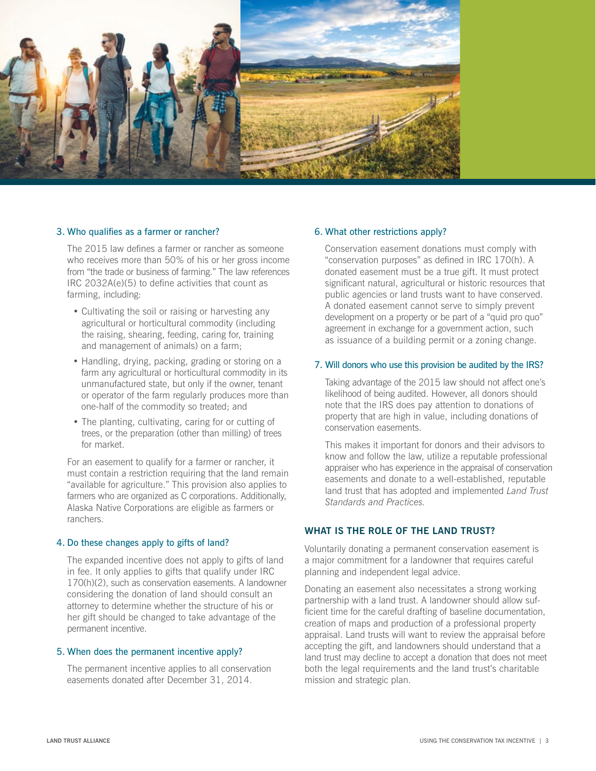

### 3. Who qualifies as a farmer or rancher?

 The 2015 law defines a farmer or rancher as someone who receives more than 50% of his or her gross income from "the trade or business of farming." The law references IRC 2032A(e)(5) to define activities that count as farming, including:

- Cultivating the soil or raising or harvesting any agricultural or horticultural commodity (including the raising, shearing, feeding, caring for, training and management of animals) on a farm;
- Handling, drying, packing, grading or storing on a farm any agricultural or horticultural commodity in its unmanufactured state, but only if the owner, tenant or operator of the farm regularly produces more than one-half of the commodity so treated; and
- The planting, cultivating, caring for or cutting of trees, or the preparation (other than milling) of trees for market.

 For an easement to qualify for a farmer or rancher, it must contain a restriction requiring that the land remain "available for agriculture." This provision also applies to farmers who are organized as C corporations. Additionally, Alaska Native Corporations are eligible as farmers or ranchers.

#### 4. Do these changes apply to gifts of land?

 The expanded incentive does not apply to gifts of land in fee. It only applies to gifts that qualify under IRC 170(h)(2), such as conservation easements. A landowner considering the donation of land should consult an attorney to determine whether the structure of his or her gift should be changed to take advantage of the permanent incentive.

#### 5. When does the permanent incentive apply?

 The permanent incentive applies to all conservation easements donated after December 31, 2014.

#### 6. What other restrictions apply?

 Conservation easement donations must comply with "conservation purposes" as defined in IRC 170(h). A donated easement must be a true gift. It must protect significant natural, agricultural or historic resources that public agencies or land trusts want to have conserved. A donated easement cannot serve to simply prevent development on a property or be part of a "quid pro quo" agreement in exchange for a government action, such as issuance of a building permit or a zoning change.

#### 7. Will donors who use this provision be audited by the IRS?

 Taking advantage of the 2015 law should not affect one's likelihood of being audited. However, all donors should note that the IRS does pay attention to donations of property that are high in value, including donations of conservation easements.

 This makes it important for donors and their advisors to know and follow the law, utilize a reputable professional appraiser who has experience in the appraisal of conservation easements and donate to a well-established, reputable land trust that has adopted and implemented *Land Trust Standards and Practices.*

## **WHAT IS THE ROLE OF THE LAND TRUST?**

Voluntarily donating a permanent conservation easement is a major commitment for a landowner that requires careful planning and independent legal advice.

Donating an easement also necessitates a strong working partnership with a land trust. A landowner should allow sufficient time for the careful drafting of baseline documentation, creation of maps and production of a professional property appraisal. Land trusts will want to review the appraisal before accepting the gift, and landowners should understand that a land trust may decline to accept a donation that does not meet both the legal requirements and the land trust's charitable mission and strategic plan.